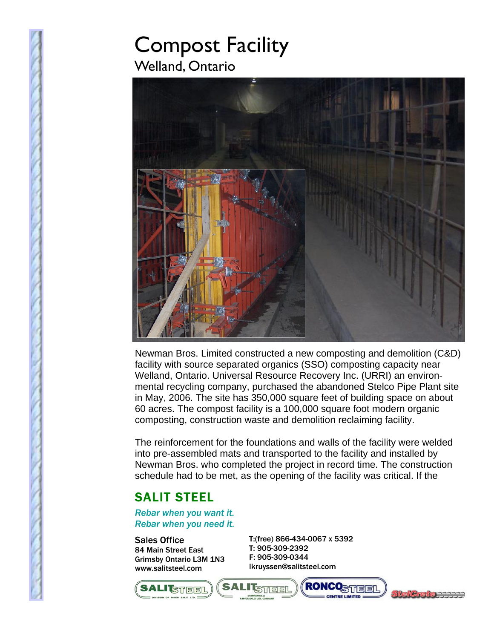## Compost Facility Welland, Ontario



Newman Bros. Limited constructed a new composting and demolition (C&D) facility with source separated organics (SSO) composting capacity near Welland, Ontario. Universal Resource Recovery Inc. (URRI) an environmental recycling company, purchased the abandoned Stelco Pipe Plant site in May, 2006. The site has 350,000 square feet of building space on about 60 acres. The compost facility is a 100,000 square foot modern organic composting, construction waste and demolition reclaiming facility.

The reinforcement for the foundations and walls of the facility were welded into pre-assembled mats and transported to the facility and installed by Newman Bros. who completed the project in record time. The construction schedule had to be met, as the opening of the facility was critical. If the

## SALIT STEEL

*Rebar when you want it. Rebar when you need it.* 

Sales Office 84 Main Street East Grimsby Ontario L3M 1N3 www.salitsteel.com

T:(free) 866-434-0067 x 5392 T: 905-309-2392 F: 905-309-0344 lkruyssen@salitsteel.com

**RONCOSTIERI**